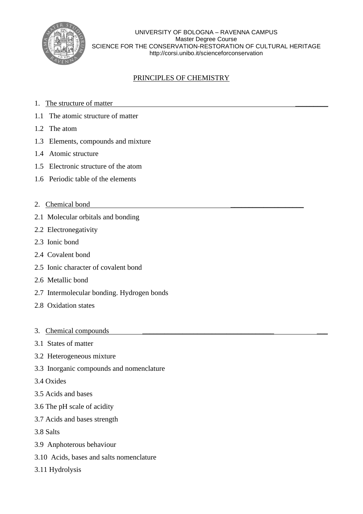

UNIVERSITY OF BOLOGNA – RAVENNA CAMPUS Master Degree Course SCIENCE FOR THE CONSERVATION-RESTORATION OF CULTURAL HERITAGE http://corsi.unibo.it/scienceforconservation

# PRINCIPLES OF CHEMISTRY

- 1. The structure of matter
- 1.1 The atomic structure of matter
- 1.2 The atom
- 1.3 Elements, compounds and mixture
- 1.4 Atomic structure
- 1.5 Electronic structure of the atom
- 1.6 Periodic table of the elements
- 2. Chemical bond
- 2.1 Molecular orbitals and bonding
- 2.2 Electronegativity
- 2.3 Ionic bond
- 2.4 Covalent bond
- 2.5 Ionic character of covalent bond
- 2.6 Metallic bond
- 2.7 Intermolecular bonding. Hydrogen bonds
- 2.8 Oxidation states
- 3. Chemical compounds
- 3.1 States of matter
- 3.2 Heterogeneous mixture
- 3.3 Inorganic compounds and nomenclature
- 3.4 Oxides
- 3.5 Acids and bases
- 3.6 The pH scale of acidity
- 3.7 Acids and bases strength
- 3.8 Salts
- 3.9 Anphoterous behaviour
- 3.10 Acids, bases and salts nomenclature
- 3.11 Hydrolysis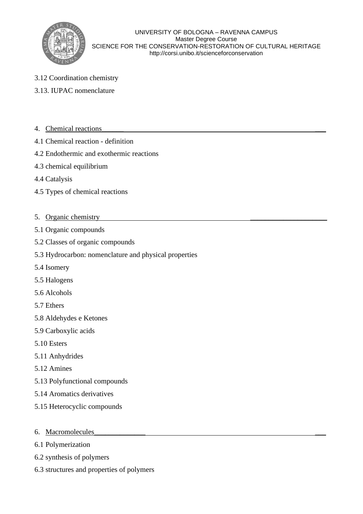

- 3.12 Coordination chemistry
- 3.13. IUPAC nomenclature
- 4. Chemical reactions
- 4.1 Chemical reaction definition
- 4.2 Endothermic and exothermic reactions
- 4.3 chemical equilibrium
- 4.4 Catalysis
- 4.5 Types of chemical reactions
- 5. Organic chemistry
- 5.1 Organic compounds
- 5.2 Classes of organic compounds
- 5.3 Hydrocarbon: nomenclature and physical properties
- 5.4 Isomery
- 5.5 Halogens
- 5.6 Alcohols
- 5.7 Ethers
- 5.8 Aldehydes e Ketones
- 5.9 Carboxylic acids
- 5.10 Esters
- 5.11 Anhydrides
- 5.12 Amines
- 5.13 Polyfunctional compounds
- 5.14 Aromatics derivatives
- 5.15 Heterocyclic compounds
- 6. Macromolecules\_\_\_\_\_\_\_\_\_\_\_\_\_\_ \_\_\_
- 6.1 Polymerization
- 6.2 synthesis of polymers
- 6.3 structures and properties of polymers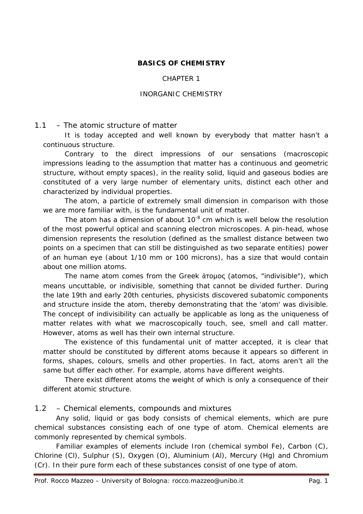### **BASICS OF CHEMISTRY**

#### CHAPTER 1

#### INORGANIC CHEMISTRY

#### 1.1 – *The atomic structure of matter*

It is today accepted and well known by everybody that matter hasn't a continuous structure.

Contrary to the direct impressions of our sensations (macroscopic impressions leading to the assumption that matter has a continuous and geometric structure, without empty spaces), in the reality solid, liquid and gaseous bodies are constituted of a very large number of elementary units, distinct each other and characterized by individual properties.

The atom, a particle of extremely small dimension in comparison with those we are more familiar with, is the fundamental unit of matter.

The atom has a dimension of about  $10^{-8}$  cm which is well below the resolution of the most powerful optical and scanning electron microscopes. A pin-head, whose dimension represents the resolution (defined as the smallest distance between two points on a specimen that can still be distinguished as two separate entities) power of an human eye (about 1/10 mm or 100 microns), has a size that would contain about one million atoms.

The name atom comes from the Greek ἄτομος (*atomos*, "indivisible"), which means uncuttable, or indivisible, something that cannot be divided further. During the late 19th and early 20th centuries, physicists discovered subatomic components and structure inside the atom, thereby demonstrating that the 'atom' was divisible. The concept of indivisibility can actually be applicable as long as the uniqueness of matter relates with what we macroscopically touch, see, smell and call matter. However, atoms as well has their own internal structure.

The existence of this fundamental unit of matter accepted, it is clear that matter should be constituted by different atoms because it appears so different in forms, shapes, colours, smells and other properties. In fact, atoms aren't all the same but differ each other. For example, atoms have different weights.

There exist different atoms the weight of which is only a consequence of their different atomic structure.

#### 1.2 – *Chemical elements, compounds and mixtures*

Any solid, liquid or gas body consists of chemical elements, which are pure chemical substances consisting each of one type of atom. Chemical elements are commonly represented by *chemical symbols*.

Familiar examples of elements include Iron (chemical symbol Fe), Carbon (C), Chlorine (Cl), Sulphur (S), Oxygen (O), Aluminium (Al), Mercury (Hg) and Chromium (Cr). In their pure form each of these substances consist of one type of atom.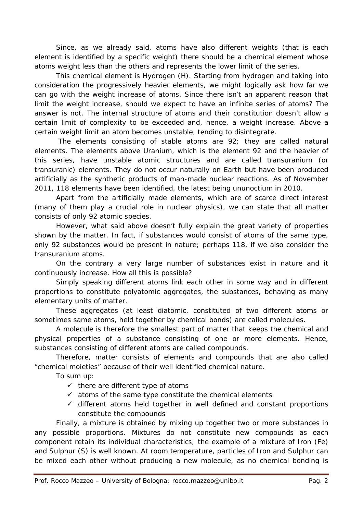Since, as we already said, atoms have also different weights (that is each element is identified by a specific weight) there should be a chemical element whose atoms weight less than the others and represents the lower limit of the series.

This chemical element is Hydrogen (H). Starting from hydrogen and taking into consideration the progressively heavier elements, we might logically ask how far we can go with the weight increase of atoms. Since there isn't an apparent reason that limit the weight increase, should we expect to have an infinite series of atoms? The answer is not. The internal structure of atoms and their constitution doesn't allow a certain limit of complexity to be exceeded and, hence, a weight increase. Above a certain weight limit an atom becomes unstable, tending to disintegrate.

The elements consisting of stable atoms are 92; they are called *natural* elements. The elements above Uranium, which is the element 92 and the heavier of this series, have unstable atomic structures and are called *transuranium* (or *transuranic*) elements. They do not occur naturally on Earth but have been produced artificially as the synthetic products of man-made nuclear reactions. As of November 2011, 118 elements have been identified, the latest being ununoctium in 2010.

Apart from the artificially made elements, which are of scarce direct interest (many of them play a crucial role in nuclear physics), we can state that all matter consists of only 92 atomic species.

However, what said above doesn't fully explain the great variety of properties shown by the matter. In fact, if substances would consist of atoms of the same type, only 92 substances would be present in nature; perhaps 118, if we also consider the transuranium atoms.

On the contrary a very large number of substances exist in nature and it continuously increase. How all this is possible?

Simply speaking different atoms link each other in some way and in different proportions to constitute polyatomic aggregates, the substances, behaving as many elementary units of matter.

These aggregates (at least diatomic, constituted of two different atoms or sometimes same atoms, held together by chemical bonds) are called *molecules*.

A molecule is therefore the smallest part of matter that keeps the chemical and physical properties of a substance consisting of one or more elements. Hence, substances consisting of different atoms are called *compounds*.

Therefore, matter consists of elements and compounds that are also called "chemical moieties" because of their well identified chemical nature.

To sum up:

- $\checkmark$  there are different type of atoms
- $\checkmark$  atoms of the same type constitute the chemical elements
- $\checkmark$  different atoms held together in well defined and constant proportions constitute the compounds

Finally, a *mixture* is obtained by mixing up together two or more substances in any possible proportions. Mixtures do not constitute new compounds as each component retain its individual characteristics; the example of a mixture of Iron (Fe) and Sulphur (S) is well known. At room temperature, particles of Iron and Sulphur can be mixed each other without producing a new molecule, as no chemical bonding is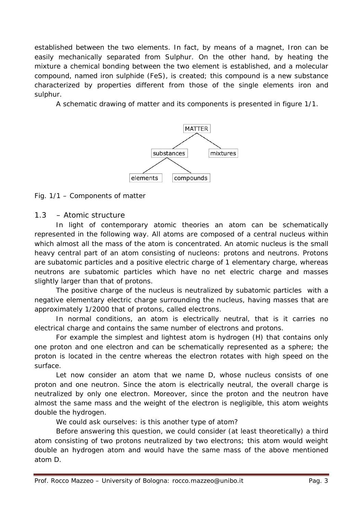established between the two elements. In fact, by means of a magnet, Iron can be easily mechanically separated from Sulphur. On the other hand, by heating the mixture a chemical bonding between the two element is established, and a molecular compound, named iron sulphide (FeS), is created; this compound is a new substance characterized by properties different from those of the single elements iron and sulphur.

A schematic drawing of matter and its components is presented in figure 1/1.



Fig. 1/1 – Components of matter

# 1.3 – *Atomic structure*

In light of contemporary atomic theories an atom can be schematically represented in the following way. All atoms are composed of a central *nucleus* within which almost all the mass of the atom is concentrated. An atomic nucleus is the small heavy central part of an atom consisting of nucleons: *protons* and *neutrons*. Protons are subatomic particles and a positive electric charge of 1 elementary charge, whereas neutrons are subatomic particles which have no net electric charge and masses slightly larger than that of protons.

The positive charge of the nucleus is neutralized by subatomic particles with a negative elementary electric charge surrounding the nucleus, having masses that are approximately 1/2000 that of protons, called *electrons*.

In normal conditions, an atom is electrically neutral, that is it carries no electrical charge and contains the same number of electrons and protons.

For example the simplest and lightest atom is hydrogen (H) that contains only one proton and one electron and can be schematically represented as a sphere; the proton is located in the centre whereas the electron rotates with high speed on the surface.

Let now consider an atom that we name D, whose nucleus consists of one proton and one neutron. Since the atom is electrically neutral, the overall charge is neutralized by only one electron. Moreover, since the proton and the neutron have almost the same mass and the weight of the electron is negligible, this atom weights double the hydrogen.

We could ask ourselves: is this another type of atom?

Before answering this question, we could consider (at least theoretically) a third atom consisting of two protons neutralized by two electrons; this atom would weight double an hydrogen atom and would have the same mass of the above mentioned atom D.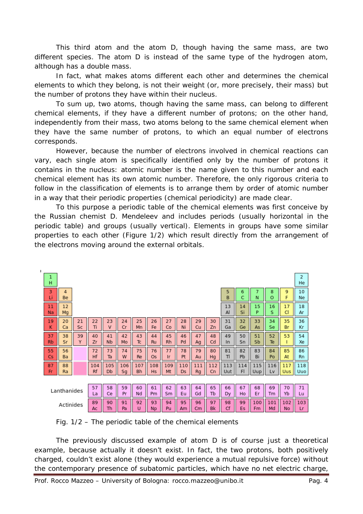This third atom and the atom D, though having the same mass, are two different species. The atom D is instead of the same type of the hydrogen atom, although has a double mass.

In fact, what makes atoms different each other and determines the chemical elements to which they belong, is not their weight (or, more precisely, their mass) but the *number of protons they have within their nucleus*.

To sum up, two atoms, though having the same mass, can belong to different chemical elements, if they have a different number of protons; on the other hand, independently from their mass, two atoms belong to the same chemical element when they have the same number of protons, to which an equal number of electrons corresponds.

However, because the number of electrons involved in chemical reactions can vary, each single atom is specifically identified only by the *number of protons* it contains in the nucleus: *atomic number* is the name given to this number and each chemical element has its own atomic number. Therefore, the only rigorous criteria to follow in the classification of elements is to arrange them by order of atomic number in a way that their periodic properties (chemical periodicity) are made clear.

To this purpose a periodic table of the chemical elements was first conceive by the Russian chemist D. Mendeleev and includes periods (usually horizontal in the periodic table) and groups (usually vertical). Elements in groups have some similar properties to each other (Figure 1/2) which result directly from the arrangement of the electrons moving around the external orbitals.

| 1                                                                                                                                                                                   |          |          |                 |           |           |                 |           |                  |                 |                  |           |           |                 |           |            |           |            |                   |
|-------------------------------------------------------------------------------------------------------------------------------------------------------------------------------------|----------|----------|-----------------|-----------|-----------|-----------------|-----------|------------------|-----------------|------------------|-----------|-----------|-----------------|-----------|------------|-----------|------------|-------------------|
|                                                                                                                                                                                     | н        |          |                 |           |           |                 |           |                  |                 |                  |           |           |                 |           |            |           |            | 2<br>He           |
|                                                                                                                                                                                     | 3<br>Li  | 4<br>Be  |                 |           |           |                 |           |                  |                 |                  |           |           | 5<br>B          | 6<br>C    | 7<br>N     | 8<br>O    | 9<br>F     | 10<br>Ne          |
|                                                                                                                                                                                     | 11<br>Na | 12<br>Mg |                 |           |           |                 |           |                  |                 |                  |           |           | 13<br>Al        | 14<br>Si  | 15<br>P    | 16<br>S   | 17<br>CI   | 18<br>Ar          |
|                                                                                                                                                                                     | 19<br>κ  | 20<br>Ca | 21<br><b>Sc</b> | 22<br>Τí  | 23<br>ν   | 24<br>Cr        | 25<br>Mn  | 26<br>Fe         | 27<br>Co        | 28<br>Ni         | 29<br>Cu  | 30<br>Zn  | 31<br>Ga        | 32<br>Ge  | 33<br>As   | 34<br>Se  | 35<br>Br   | 36<br>Кr          |
|                                                                                                                                                                                     | 37<br>Rb | 38<br>Sr | 39<br>Y         | 40<br>Zr  | 41<br>Nb  | 42<br>Mo        | 43<br>Tc  | 44<br><b>Ru</b>  | 45<br><b>Rh</b> | 46<br>Pd         | 47<br>Ag  | 48<br>Cd  | 49<br><b>In</b> | 50<br>Sn  | 51<br>Sb   | 52<br>Te  | 53<br>ı    | 54<br>Xe          |
|                                                                                                                                                                                     | 55<br>Cs | 56<br>Ba |                 | 72<br>Hf  | 73<br>Ta  | 74<br>W         | 75<br>Re  | 76<br><b>Os</b>  | 77<br>1r        | 78<br>Pt         | 79<br>Au  | 80<br>Hg  | 81<br>TI        | 82<br>Pb  | 83<br>Bi   | 84<br>Po  | 85<br>At   | 86<br><b>Rn</b>   |
|                                                                                                                                                                                     | 87<br>Fr | 88<br>Ra |                 | 104<br>Rf | 105<br>Db | 106<br>Sg       | 107<br>Bh | 108<br><b>Hs</b> | 109<br>Mt       | 110<br><b>Ds</b> | 111<br>Rg | 112<br>Cn | 113<br>Uut      | 114<br>FI | 115<br>Uup | 116<br>Lv | 117<br>Uus | 118<br><b>Uuo</b> |
|                                                                                                                                                                                     |          |          |                 |           |           |                 |           |                  |                 |                  |           |           |                 |           |            |           |            |                   |
| 65<br>57<br>58<br>62<br>63<br>67<br>70<br>59<br>60<br>61<br>64<br>66<br>68<br>69<br>Lanthanides<br>Yb<br>Ce<br>Pr<br>Nd<br>Sm<br>Eu<br>Gd<br>Tb<br>Er<br>Pm<br>Ho<br>Tm<br>Dy<br>La |          |          |                 |           |           |                 | 71<br>Lu  |                  |                 |                  |           |           |                 |           |            |           |            |                   |
| Actinides                                                                                                                                                                           |          | 89<br>Ac | 90<br>Th        | 91<br>Pa  | 92<br>U   | 93<br><b>Np</b> | 94<br>Pu  | 95<br>Am         | 96<br>Cm        | 97<br>Bk         | 98<br>Cf  | 99<br>Es  | 100<br>Fm       | 101<br>Md | 102<br>No  | 103<br>Lr |            |                   |

Fig. 1/2 – The periodic table of the chemical elements

The previously discussed example of atom D is of course just a theoretical example, because actually it doesn't exist. In fact, the two protons, both positively charged, couldn't exist alone (they would experience a mutual repulsive force) without the contemporary presence of subatomic particles, which have no net electric charge,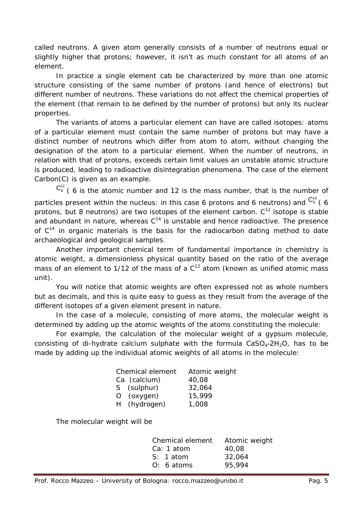called neutrons. A given atom generally consists of a number of neutrons equal or slightly higher that protons; however, it isn't as much constant for all atoms of an element.

In practice a single element cab be characterized by more than one atomic structure consisting of the same number of protons (and hence of electrons) but different number of neutrons. These variations do not affect the chemical properties of the element (that remain to be defined by the number of protons) but only its nuclear properties.

The variants of atoms a particular element can have are called *isotopes*: atoms of a particular element must contain the same number of protons but may have a distinct number of neutrons which differ from atom to atom, without changing the designation of the atom to a particular element. When the number of neutrons, in relation with that of protons, exceeds certain limit values an unstable atomic structure is produced, leading to *radioactive disintegration* phenomena. The case of the element Carbon(C) is given as an example.

 $C_6^{12}$  (6 is the atomic number and 12 is the mass number, that is the number of particles present within the nucleus: in this case 6 protons and 6 neutrons) and  $\mathsf{C}_6^{_{14}}$  ( 6 protons, but 8 neutrons) are two isotopes of the element carbon.  $C^{12}$  isotope is stable and abundant in nature, whereas  $C^{14}$  is unstable and hence radioactive. The presence of  $C^{14}$  in organic materials is the basis for the radiocarbon dating method to date archaeological and geological samples.

Another important chemical term of fundamental importance in chemistry is *atomic weight*, a dimensionless physical quantity based on the ratio of the average mass of an element to 1/12 of the mass of a C<sup>12</sup> atom (known as *unified atomic mass unit*).

You will notice that atomic weights are often expressed not as whole numbers but as decimals, and this is quite easy to guess as they result from the average of the different isotopes of a given element present in nature.

In the case of a molecule, consisting of more atoms, the *molecular weight* is determined by adding up the atomic weights of the atoms constituting the molecule:

For example, the calculation of the molecular weight of a gypsum molecule, consisting of di-hydrate calcium sulphate with the formula  $CaSO<sub>4</sub>·2H<sub>2</sub>O$ , has to be made by adding up the individual atomic weights of all atoms in the molecule:

| Chemical element | Atomic weight |
|------------------|---------------|
| Ca (calcium)     | 40,08         |
| S (sulphur)      | 32,064        |
| O (oxygen)       | 15,999        |
| H (hydrogen)     | 1,008         |

The molecular weight will be

| Chemical element | Atomic weight |
|------------------|---------------|
| Ca: 1 atom       | 40,08         |
| $S: 1$ atom      | 32,064        |
| $O: 6$ atoms     | 95,994        |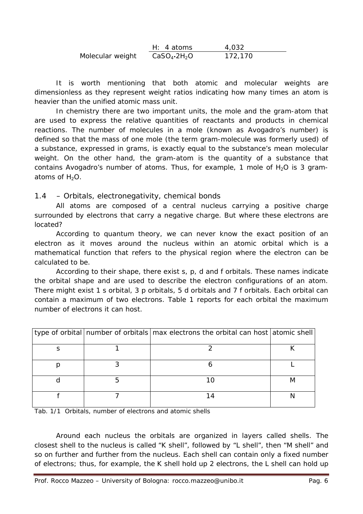|                  | $H: 4$ atoms         | 4,032   |
|------------------|----------------------|---------|
| Molecular weight | $CaSO_4 \cdot 2H_2O$ | 172,170 |

It is worth mentioning that both atomic and molecular weights are dimensionless as they represent weight ratios indicating how many times an atom is heavier than the unified atomic mass unit.

In chemistry there are two important units, the mole and the gram-atom that are used to express the relative quantities of reactants and products in chemical reactions. The number of molecules in a mole (known as Avogadro's number) is defined so that the mass of one mole (the term gram-molecule was formerly used) of a substance, expressed in grams, is exactly equal to the substance's mean molecular weight. On the other hand, the gram-atom is the quantity of a substance that contains Avogadro's number of atoms. Thus, for example, 1 mole of  $H_2O$  is 3 gramatoms of  $H_2O$ .

# 1.4 – *Orbitals, electronegativity, chemical bonds*

All atoms are composed of a central *nucleus* carrying a positive charge surrounded by electrons that carry a negative charge. But where these electrons are located?

According to quantum theory, we can never know the exact position of an electron as it moves around the nucleus within an *atomic orbital* which is a mathematical function that refers to the physical region where the electron can be calculated to be.

According to their shape, there exist *s*, *p*, *d* and *f* orbitals. These names indicate the orbital shape and are used to describe the electron configurations of an atom. There might exist 1 *s* orbital, 3 *p* orbitals, 5 *d* orbitals and 7 *f* orbitals. Each orbital can contain a maximum of two electrons. Table 1 reports for each orbital the maximum number of electrons it can host.

|  | type of orbital number of orbitals max electrons the orbital can host atomic shell |  |
|--|------------------------------------------------------------------------------------|--|
|  |                                                                                    |  |
|  |                                                                                    |  |
|  |                                                                                    |  |
|  |                                                                                    |  |

Tab. 1/1 *Orbitals, number of electrons and atomic shells*

Around each nucleus the orbitals are organized in layers called *shells*. The closest shell to the nucleus is called "K shell", followed by "L shell", then "M shell" and so on further and further from the nucleus. Each shell can contain only a fixed number of electrons; thus, for example, the K shell hold up 2 electrons, the L shell can hold up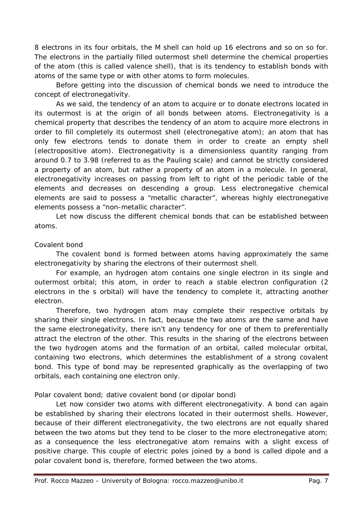8 electrons in its four orbitals, the M shell can hold up 16 electrons and so on so for. The electrons in the partially filled outermost shell determine the chemical properties of the atom (this is called *valence shell*), that is its tendency to establish bonds with atoms of the same type or with other atoms to form molecules.

Before getting into the discussion of chemical bonds we need to introduce the concept of electronegativity.

As we said, the tendency of an atom to acquire or to donate electrons located in its outermost is at the origin of all bonds between atoms. Electronegativity is a chemical property that describes the tendency of an atom to acquire more electrons in order to fill completely its outermost shell (electronegative atom); an atom that has only few electrons tends to donate them in order to create an empty shell (electropositive atom). Electronegativity is a dimensionless quantity ranging from around 0.7 to 3.98 (referred to as the Pauling scale) and cannot be strictly considered a property of an atom, but rather a property of an atom in a molecule. In general, electronegativity increases on passing from left to right of the periodic table of the elements and decreases on descending a group. Less electronegative chemical elements are said to possess a "metallic character", whereas highly electronegative elements possess a "non-metallic character".

Let now discuss the different chemical bonds that can be established between atoms.

## *Covalent bond*

The covalent bond is formed between atoms having approximately the same electronegativity by sharing the electrons of their outermost shell.

For example, an hydrogen atom contains one single electron in its single and outermost orbital; this atom, in order to reach a stable electron configuration (2 electrons in the *s* orbital) will have the tendency to complete it, attracting another electron.

Therefore, two hydrogen atom may complete their respective orbitals by sharing their single electrons. In fact, because the two atoms are the same and have the same electronegativity, there isn't any tendency for one of them to preferentially attract the electron of the other. This results in the sharing of the electrons between the two hydrogen atoms and the formation of an orbital, called *molecular orbital*, containing two electrons, which determines the establishment of a strong covalent bond. This type of bond may be represented graphically as the overlapping of two orbitals, each containing one electron only.

## *Polar covalent bond; dative covalent bond (or dipolar bond)*

Let now consider two atoms with different electronegativity. A bond can again be established by sharing their electrons located in their outermost shells. However, because of their different electronegativity, the two electrons are not equally shared between the two atoms but they tend to be closer to the more electronegative atom; as a consequence the less electronegative atom remains with a slight excess of positive charge. This couple of electric poles joined by a bond is called *dipole* and a *polar covalent bond* is, therefore, formed between the two atoms.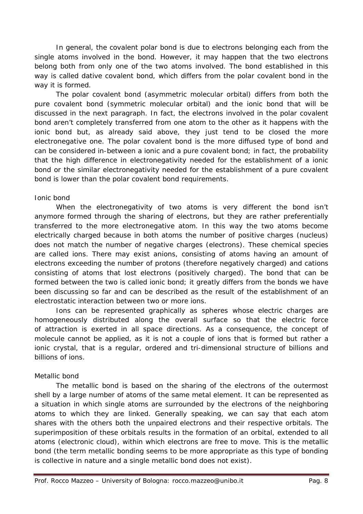In general, the covalent polar bond is due to electrons belonging each from the single atoms involved in the bond. However, it may happen that the two electrons belong both from only one of the two atoms involved. The bond established in this way is called *dative covalent bond*, which differs from the polar covalent bond in the way it is formed.

The polar covalent bond (asymmetric molecular orbital) differs from both the pure covalent bond (symmetric molecular orbital) and the ionic bond that will be discussed in the next paragraph. In fact, the electrons involved in the polar covalent bond aren't completely transferred from one atom to the other as it happens with the ionic bond but, as already said above, they just tend to be closed the more electronegative one. The polar covalent bond is the more diffused type of bond and can be considered in-between a ionic and a pure covalent bond; in fact, the probability that the high difference in electronegativity needed for the establishment of a ionic bond or the similar electronegativity needed for the establishment of a pure covalent bond is lower than the polar covalent bond requirements.

## *Ionic bond*

When the electronegativity of two atoms is very different the bond isn't anymore formed through the sharing of electrons, but they are rather preferentially transferred to the more electronegative atom. In this way the two atoms become electrically charged because in both atoms the number of positive charges (nucleus) does not match the number of negative charges (electrons). These chemical species are called *ions*. There may exist *anions*, consisting of atoms having an amount of electrons exceeding the number of protons (therefore negatively charged) and cations consisting of atoms that lost electrons (positively charged). The bond that can be formed between the two is called *ionic bond*; it greatly differs from the bonds we have been discussing so far and can be described as the result of the establishment of an *electrostatic interaction* between two or more ions.

Ions can be represented graphically as spheres whose electric charges are homogeneously distributed along the overall surface so that the electric force of attraction is exerted in all space directions. As a consequence, the concept of molecule cannot be applied, as it is not a couple of ions that is formed but rather a *ionic crystal*, that is a regular, ordered and tri-dimensional structure of billions and billions of ions.

# *Metallic bond*

The metallic bond is based on the sharing of the electrons of the outermost shell by a large number of atoms of the same metal element. It can be represented as a situation in which single atoms are surrounded by the electrons of the neighboring atoms to which they are linked. Generally speaking, we can say that each atom shares with the others both the unpaired electrons and their respective orbitals. The superimposition of these orbitals results in the formation of an orbital, extended to all atoms (electronic cloud), within which electrons are free to move. This is the *metallic bond* (the term *metallic bonding* seems to be more appropriate as this type of bonding is collective in nature and a single metallic bond does not exist).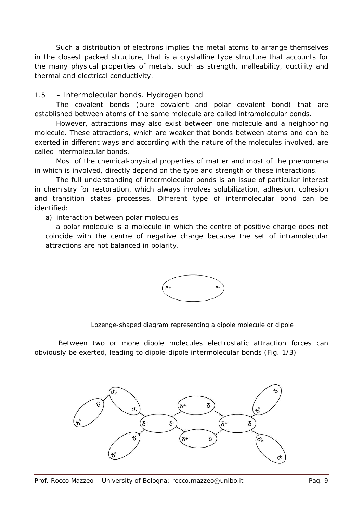Such a distribution of electrons implies the metal atoms to arrange themselves in the closest packed structure, that is a crystalline type structure that accounts for the many physical properties of metals, such as strength, malleability, ductility and thermal and electrical conductivity.

# 1.5 – *Intermolecular bonds. Hydrogen bond*

The covalent bonds (pure covalent and polar covalent bond) that are established between atoms of the same molecule are called *intramolecular bonds*.

However, attractions may also exist between one molecule and a neighboring molecule. These attractions, which are weaker that bonds between atoms and can be exerted in different ways and according with the nature of the molecules involved, are called *intermolecular bonds*.

Most of the chemical-physical properties of matter and most of the phenomena in which is involved, directly depend on the type and strength of these interactions.

The full understanding of intermolecular bonds is an issue of particular interest in chemistry for restoration, which always involves solubilization, adhesion, cohesion and transition states processes. Different type of intermolecular bond can be identified:

## *a) interaction between polar molecules*

a polar molecule is a molecule in which the centre of positive charge does not coincide with the centre of negative charge because the set of intramolecular attractions are not balanced in polarity.



Lozenge-shaped diagram representing a dipole molecule or dipole

Between two or more dipole molecules electrostatic attraction forces can obviously be exerted, leading to dipole-dipole intermolecular bonds (Fig. 1/3)

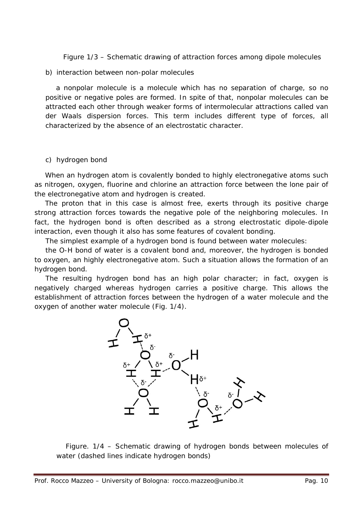Figure 1/3 – Schematic drawing of attraction forces among dipole molecules

#### *b) interaction between non-polar molecules*

a nonpolar molecule is a molecule which has no separation of charge, so no positive or negative poles are formed. In spite of that, nonpolar molecules can be attracted each other through weaker forms of intermolecular attractions called *van der Waals dispersion forces*. This term includes different type of forces, all characterized by the absence of an electrostatic character.

## *c) hydrogen bond*

When an hydrogen atom is covalently bonded to highly electronegative atoms such as nitrogen, oxygen, fluorine and chlorine an attraction force between the lone pair of the electronegative atom and hydrogen is created.

The proton that in this case is almost free, exerts through its positive charge strong attraction forces towards the negative pole of the neighboring molecules. In fact, the hydrogen bond is often described as a strong electrostatic dipole-dipole interaction, even though it also has some features of covalent bonding.

The simplest example of a hydrogen bond is found between water molecules:

the O-H bond of water is a covalent bond and, moreover, the hydrogen is bonded to oxygen, an highly electronegative atom. Such a situation allows the formation of an hydrogen bond.

The resulting hydrogen bond has an high polar character; in fact, oxygen is negatively charged whereas hydrogen carries a positive charge. This allows the establishment of attraction forces between the hydrogen of a water molecule and the oxygen of another water molecule (Fig. 1/4).



 Figure. 1/4 – Schematic drawing of hydrogen bonds between molecules of water (dashed lines indicate hydrogen bonds)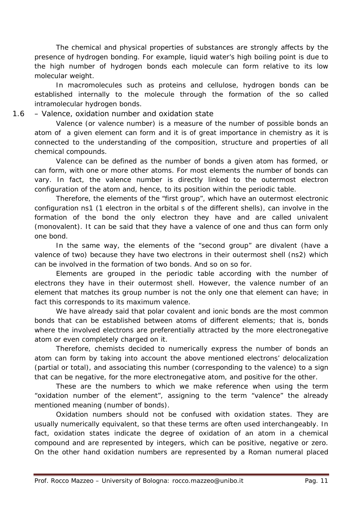The chemical and physical properties of substances are strongly affects by the presence of hydrogen bonding. For example, liquid water's high boiling point is due to the high number of hydrogen bonds each molecule can form relative to its low molecular weight.

In macromolecules such as proteins and cellulose, hydrogen bonds can be established internally to the molecule through the formation of the so called intramolecular hydrogen bonds.

1.6 – *Valence, oxidation number and oxidation state*

Valence (or valence number) is a measure of the number of possible bonds an atom of a given element can form and it is of great importance in chemistry as it is connected to the understanding of the composition, structure and properties of all chemical compounds.

Valence can be defined as the number of bonds a given atom has formed, or can form, with one or more other atoms. For most elements the number of bonds can vary. In fact, the valence number is directly linked to the outermost electron configuration of the atom and, hence, to its position within the periodic table.

Therefore, the elements of the "first group", which have an outermost electronic configuration *ns1* (1 electron in the orbital s of the different shells), can involve in the formation of the bond the only electron they have and are called *univalent* (*monovalent*). It can be said that they have a valence of one and thus can form only one bond.

In the same way, the elements of the "second group" are *divalent* (have a valence of two) because they have two electrons in their outermost shell (*ns2*) which can be involved in the formation of two bonds. And so on so for.

Elements are grouped in the periodic table according with the number of electrons they have in their outermost shell. However, the valence number of an element that matches its group number is not the only one that element can have; in fact this corresponds to its maximum valence.

We have already said that polar covalent and ionic bonds are the most common bonds that can be established between atoms of different elements; that is, bonds where the involved electrons are preferentially attracted by the more electronegative atom or even completely charged on it.

Therefore, chemists decided to numerically express the number of bonds an atom can form by taking into account the above mentioned electrons' delocalization (partial or total), and associating this number (corresponding to the valence) to a sign that can be negative, for the more electronegative atom, and positive for the other.

These are the numbers to which we make reference when using the term "*oxidation number of the element*", assigning to the term "*valence"* the already mentioned meaning (number of bonds).

Oxidation numbers should not be confused with oxidation states. They are usually numerically equivalent, so that these terms are often used interchangeably. In fact, oxidation states indicate the degree of oxidation of an atom in a chemical compound and are represented by integers, which can be positive, negative or zero. On the other hand oxidation numbers are represented by a Roman numeral placed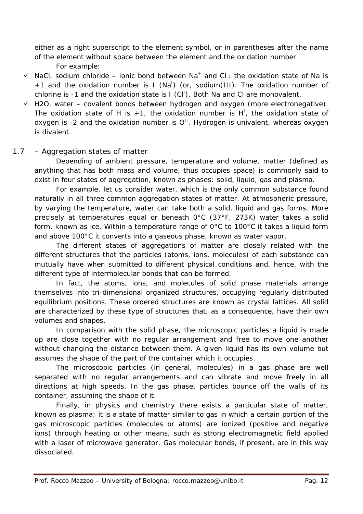either as a right superscript to the element symbol, or in parentheses after the name of the element without space between the element and the oxidation number For example:

- $\checkmark$  NaCl, sodium chloride ionic bond between Na<sup>+</sup> and Cl<sup>-</sup>: the oxidation state of Na is +1 and the oxidation number is  $I(Na^1)$  (or, sodium(III). The oxidation number of chlorine is -1 and the oxidation state is  $I$  (CI<sup>I</sup>). Both Na and CI are monovalent.
- $\checkmark$  H2O, water covalent bonds between hydrogen and oxygen (more electronegative). The oxidation state of H is  $+1$ , the oxidation number is H<sup>1</sup>, the oxidation state of oxygen is -2 and the oxidation number is  $O<sup>H</sup>$ . Hydrogen is univalent, whereas oxygen is divalent.

# 1.7 – *Aggregation states of matter*

Depending of ambient pressure, temperature and volume, matter (defined as anything that has both mass and volume, thus occupies space) is commonly said to exist in four states of aggregation, known as phases: solid, liquid, gas and plasma.

For example, let us consider water, which is the only common substance found naturally in all three common aggregation states of matter. At atmospheric pressure, by varying the temperature, water can take both a solid, liquid and gas forms. More precisely at temperatures equal or beneath 0°C (37°F, 273K) water takes a solid form, known as ice. Within a temperature range of  $0^{\circ}$ C to 100 $^{\circ}$ C it takes a liquid form and above 100°C it converts into a gaseous phase, known as water vapor.

The different states of aggregations of matter are closely related with the different structures that the particles (atoms, ions, molecules) of each substance can mutually have when submitted to different physical conditions and, hence, with the different type of intermolecular bonds that can be formed.

In fact, the atoms, ions, and molecules of *solid phase* materials arrange themselves into tri-dimensional organized structures, occupying regularly distributed equilibrium positions. These ordered structures are known as *crystal lattices*. All solid are characterized by these type of structures that, as a consequence, have their own volumes and shapes.

In comparison with the solid phase, the microscopic particles a *liquid* is made up are close together with no regular arrangement and free to move one another without changing the distance between them. A given liquid has its own volume but assumes the shape of the part of the container which it occupies.

The microscopic particles (in general, molecules) in a *gas phase* are well separated with no regular arrangements and can vibrate and move freely in all directions at high speeds. In the gas phase, particles bounce off the walls of its container, assuming the shape of it.

Finally, in physics and chemistry there exists a particular state of matter, known as *plasma*; it is a state of matter similar to gas in which a certain portion of the gas microscopic particles (molecules or atoms) are ionized (positive and negative ions) through heating or other means, such as strong electromagnetic field applied with a laser of microwave generator. Gas molecular bonds, if present, are in this way dissociated.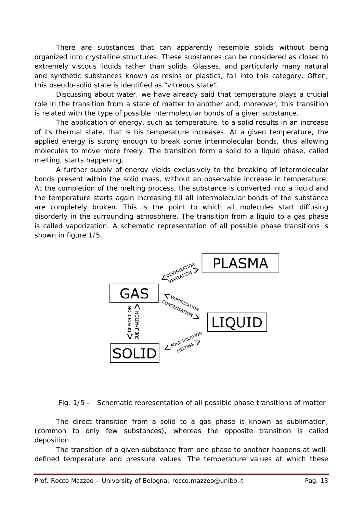There are substances that can apparently resemble solids without being organized into crystalline structures. These substances can be considered as closer to extremely viscous liquids rather than solids. Glasses, and particularly many natural and synthetic substances known as resins or plastics, fall into this category. Often, this pseudo-solid state is identified as "*vitreous state*".

Discussing about water, we have already said that temperature plays a crucial role in the transition from a state of matter to another and, moreover, this transition is related with the type of possible intermolecular bonds of a given substance.

The application of energy, such as temperature, to a solid results in an increase of its thermal state, that is his temperature increases. At a given temperature, the applied energy is strong enough to break some intermolecular bonds, thus allowing molecules to move more freely. The transition form a solid to a liquid phase, called *melting*, starts happening.

A further supply of energy yields exclusively to the breaking of intermolecular bonds present within the solid mass, without an observable increase in temperature. At the completion of the melting process, the substance is converted into a liquid and the temperature starts again increasing till all intermolecular bonds of the substance are completely broken. This is the point to which all molecules start diffusing disorderly in the surrounding atmosphere. The transition from a liquid to a gas phase is called *vaporization*. A schematic representation of all possible phase transitions is shown in figure 1/5.



Fig. 1/5 - Schematic representation of all possible phase transitions of matter

The direct transition from a solid to a gas phase is known as *sublimation*, (common to only few substances), whereas the opposite transition is called *deposition*.

The transition of a given substance from one phase to another happens at welldefined temperature and pressure values. The temperature values at which these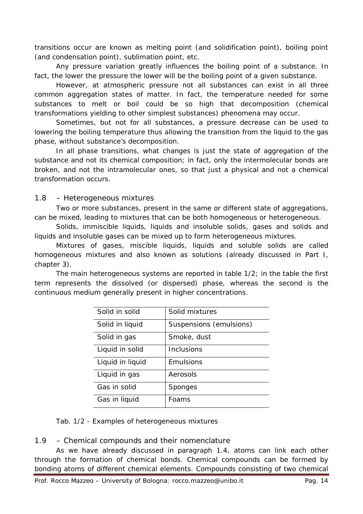transitions occur are known as *melting point* (and solidification point), *boiling point* (and condensation point), *sublimation point*, etc.

Any pressure variation greatly influences the boiling point of a substance. In fact, the lower the pressure the lower will be the boiling point of a given substance.

However, at atmospheric pressure not all substances can exist in all three common aggregation states of matter. In fact, the temperature needed for some substances to melt or boil could be so high that decomposition (chemical transformations yielding to other simplest substances) phenomena may occur.

Sometimes, but not for all substances, a pressure decrease can be used to lowering the boiling temperature thus allowing the transition from the liquid to the gas phase, without substance's decomposition.

In all phase transitions, what changes is just the state of aggregation of the substance and not its chemical composition; in fact, only the intermolecular bonds are broken, and not the intramolecular ones, so that just a physical and not a chemical transformation occurs.

## 1.8 – *Heterogeneous mixtures*

Two or more substances, present in the same or different state of aggregations, can be mixed, leading to mixtures that can be both homogeneous or heterogeneous.

Solids, immiscible liquids, liquids and insoluble solids, gases and solids and liquids and insoluble gases can be mixed up to form *heterogeneous mixtures*.

Mixtures of gases, miscible liquids, liquids and soluble solids are called homogeneous mixtures and also known as solutions (already discussed in Part I, chapter 3).

The main heterogeneous systems are reported in table 1/2; in the table the first term represents the dissolved (or dispersed) phase, whereas the second is the continuous medium generally present in higher concentrations.

| Solid in solid   | Solid mixtures          |
|------------------|-------------------------|
| Solid in liquid  | Suspensions (emulsions) |
| Solid in gas     | Smoke, dust             |
| Liquid in solid  | Inclusions              |
| Liquid in liquid | <b>Fmulsions</b>        |
| Liquid in gas    | Aerosols                |
| Gas in solid     | Sponges                 |
| Gas in liquid    | Foams                   |

Tab. 1/2 - Examples of heterogeneous mixtures

## 1.9 – *Chemical compounds and their nomenclature*

As we have already discussed in paragraph 1.4, atoms can link each other through the formation of chemical bonds. Chemical compounds can be formed by bonding atoms of different chemical elements. Compounds consisting of two chemical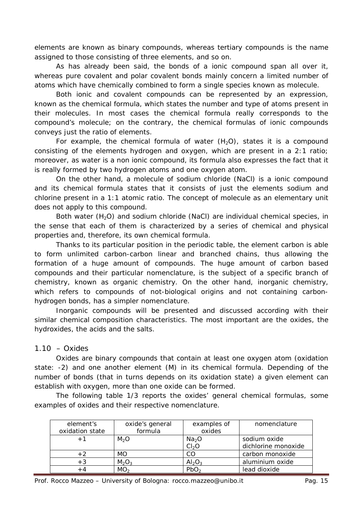elements are known as *binary compounds*, whereas *tertiary compounds* is the name assigned to those consisting of three elements, and so on.

As has already been said, the bonds of a ionic compound span all over it, whereas pure covalent and polar covalent bonds mainly concern a limited number of atoms which have chemically combined to form a single species known as *molecule*.

Both ionic and covalent compounds can be represented by an expression, known as the *chemical formula*, which states the number and type of atoms present in their molecules. In most cases the chemical formula really corresponds to the compound's molecule; on the contrary, the chemical formulas of ionic compounds conveys just the ratio of elements.

For example, the chemical formula of water  $(H<sub>2</sub>O)$ , states it is a compound consisting of the elements hydrogen and oxygen, which are present in a 2:1 ratio; moreover, as water is a non ionic compound, its formula also expresses the fact that it is really formed by two hydrogen atoms and one oxygen atom.

On the other hand, a molecule of sodium chloride (NaCl) is a ionic compound and its chemical formula states that it consists of just the elements sodium and chlorine present in a 1:1 atomic ratio. The concept of molecule as an elementary unit does not apply to this compound.

Both water (H<sub>2</sub>O) and sodium chloride (NaCl) are *individual chemical species*, in the sense that each of them is characterized by a series of chemical and physical properties and, therefore, its own chemical formula.

Thanks to its particular position in the periodic table, the element carbon is able to form unlimited carbon-carbon linear and branched chains, thus allowing the formation of a huge amount of compounds. The huge amount of carbon based compounds and their particular nomenclature, is the subject of a specific branch of chemistry, known as *organic chemistry*. On the other hand, *inorganic chemistry*, which refers to compounds of not-biological origins and not containing carbonhydrogen bonds, has a simpler nomenclature.

Inorganic compounds will be presented and discussed according with their similar chemical composition characteristics. The most important are the oxides, the hydroxides, the acids and the salts.

# 1.10 – *Oxides*

Oxides are binary compounds that contain at least one oxygen atom (oxidation state: -2) and one another element (M) in its chemical formula. Depending of the number of bonds (that in turns depends on its oxidation state) a given element can establish with oxygen, more than one oxide can be formed.

The following table 1/3 reports the oxides' general chemical formulas, some examples of oxides and their respective nomenclature.

| element's       | oxide's general               | examples of       | nomenclature        |
|-----------------|-------------------------------|-------------------|---------------------|
| oxidation state | formula                       | oxides            |                     |
| $+1$            | M <sub>2</sub> O              | Na <sub>2</sub> O | sodium oxide        |
|                 |                               | Cl <sub>2</sub> O | dichlorine monoxide |
| $+2$            | МO                            | CO                | carbon monoxide     |
| $+3$            | M <sub>2</sub> O <sub>3</sub> | $Al_2O_3$         | aluminium oxide     |
| + 4             | MO <sub>2</sub>               | PbO.              | lead dioxide        |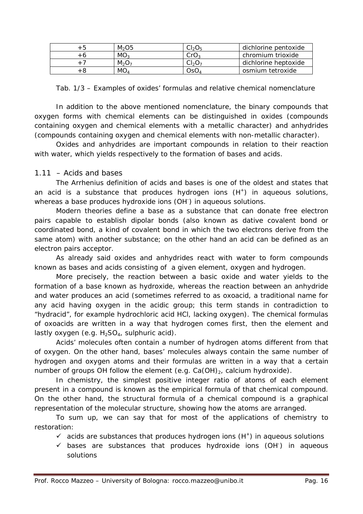| $M2$ O5         | $Cl_2O_5$                      | dichlorine pentoxide |
|-----------------|--------------------------------|----------------------|
| MO <sub>3</sub> | CrO <sub>3</sub>               | chromium trioxide    |
| $M_2O_7$        | Cl <sub>2</sub> O <sub>7</sub> | dichlorine heptoxide |
| MO.             | OsO.                           | osmium tetroxide     |

Tab. 1/3 – Examples of oxides' formulas and relative chemical nomenclature

In addition to the above mentioned nomenclature, the binary compounds that oxygen forms with chemical elements can be distinguished in *oxides* (compounds containing oxygen and chemical elements with a metallic character) and *anhydrides* (compounds containing oxygen and chemical elements with non-metallic character).

Oxides and anhydrides are important compounds in relation to their reaction with water, which yields respectively to the formation of bases and acids.

## 1.11 – *Acids and bases*

The Arrhenius definition of acids and bases is one of the oldest and states that an acid is a substance that produces hydrogen ions  $(H<sup>+</sup>)$  in aqueous solutions, whereas a base produces hydroxide ions (OH<sup>-</sup>) in aqueous solutions.

Modern theories define a base as a substance that can donate free electron pairs capable to establish dipolar bonds (also known as dative covalent bond or coordinated bond, a kind of covalent bond in which the two electrons derive from the same atom) with another substance; on the other hand an acid can be defined as an electron pairs acceptor.

As already said oxides and anhydrides react with water to form compounds known as bases and acids consisting of a given element, oxygen and hydrogen.

More precisely, the reaction between a basic oxide and water yields to the formation of a base known as hydroxide, whereas the reaction between an anhydride and water produces an *acid* (sometimes referred to as *oxoacid*, a traditional name for any acid having oxygen in the acidic group; this term stands in contradiction to "*hydracid*", for example hydrochloric acid HCl, lacking oxygen). The chemical formulas of oxoacids are written in a way that hydrogen comes first, then the element and lastly oxygen (e.g.  $H_2SO_4$ , sulphuric acid).

Acids' molecules often contain a number of hydrogen atoms different from that of oxygen. On the other hand, bases' molecules always contain the same number of hydrogen and oxygen atoms and their formulas are written in a way that a certain number of groups OH follow the element (e.g. Ca(OH)<sub>2</sub>, calcium hydroxide).

In chemistry, the simplest positive integer ratio of atoms of each element present in a compound is known as the *empirical formula* of that chemical compound. On the other hand, the *structural formula* of a chemical compound is a graphical representation of the molecular structure, showing how the atoms are arranged.

To sum up, we can say that for most of the applications of chemistry to restoration:

- $\checkmark$  acids are substances that produces hydrogen ions (H<sup>+</sup>) in aqueous solutions
- $\checkmark$  bases are substances that produces hydroxide ions (OH<sup>-</sup>) in aqueous solutions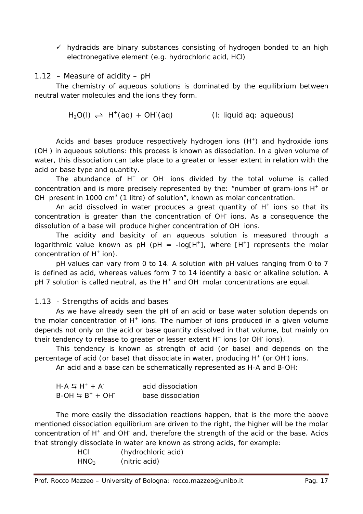$\checkmark$  hydracids are binary substances consisting of hydrogen bonded to an high electronegative element (e.g. hydrochloric acid, HCl)

## *1.12* – *Measure of acidity – pH*

The chemistry of aqueous solutions is dominated by the equilibrium between neutral water molecules and the ions they form.

 $H_2O(\ell) \rightleftharpoons H^+(aq) + OH^-(aq)$  (*l*: liquid *aq*: aqueous)

Acids and bases produce respectively hydrogen ions  $(H<sup>+</sup>)$  and hydroxide ions (OH<sup>-</sup>) in aqueous solutions: this process is known as dissociation. In a given volume of water, this dissociation can take place to a greater or lesser extent in relation with the acid or base type and quantity.

The abundance of  $H^+$  or OH $^-$  ions divided by the total volume is called *concentration* and is more precisely represented by the: "*number of gram-ions H+ or OH- present in 1000 cm<sup>3</sup> (1 litre) of solution*", known as *molar concentration*.

An acid dissolved in water produces a great quantity of  $H^+$  ions so that its concentration is greater than the concentration of OH- ions. As a consequence the dissolution of a base will produce higher concentration of OH- ions.

The acidity and basicity of an aqueous solution is measured through a logarithmic value known as pH (pH =  $-log[H^+]$ , where  $[H^+]$  represents the molar concentration of  $H^+$  ion).

pH values can vary from 0 to 14. A solution with pH values ranging from 0 to 7 is defined as acid, whereas values form 7 to 14 identify a basic or alkaline solution. A  $pH$  7 solution is called neutral, as the  $H^+$  and OH $^-$  molar concentrations are equal.

# 1.13 - *Strengths of acids and bases*

As we have already seen the pH of an acid or base water solution depends on the molar concentration of  $H^+$  ions. The number of ions produced in a given volume depends not only on the acid or base quantity dissolved in that volume, but mainly on their tendency to release to greater or lesser extent  $H^+$  ions (or OH $^-$  ions).

This tendency is known as strength of acid (or base) and depends on the percentage of acid (or base) that dissociate in water, producing H<sup>+</sup> (or OH<sup>-</sup>) ions.

An acid and a base can be schematically represented as H-A and B-OH:

| $H - A \leq H^+ + A^-$    | acid dissociation |
|---------------------------|-------------------|
| $B$ -OH $\leq B^+ + OH^-$ | base dissociation |

The more easily the dissociation reactions happen, that is the more the above mentioned dissociation equilibrium are driven to the right, the higher will be the molar concentration of H<sup>+</sup> and OH<sup>-</sup> and, therefore the strength of the acid or the base. Acids that strongly dissociate in water are known as *strong acids*, for example:

| <b>HCL</b>       | (hydrochloric acid) |
|------------------|---------------------|
| HNO <sub>3</sub> | (nitric acid)       |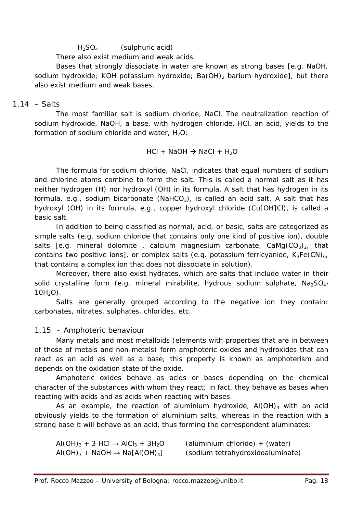## $H_2SO_4$  (sulphuric acid)

There also exist *medium* and *weak* acids.

Bases that strongly dissociate in water are known as *strong bases* [e.g. NaOH, sodium hydroxide; KOH potassium hydroxide; Ba(OH)<sub>2</sub> barium hydroxide], but there also exist *medium* and *weak bases*.

## 1.14 – *Salts*

The most familiar salt is sodium chloride, NaCl. The neutralization reaction of sodium hydroxide, NaOH, a base, with hydrogen chloride, HCl, an acid, yields to the formation of sodium chloride and water,  $H_2O$ :

 $HCI + NaOH \rightarrow NaCl + H<sub>2</sub>O$ 

The formula for sodium chloride, NaCl, indicates that equal numbers of sodium and chlorine atoms combine to form the salt. This is called a *normal salt* as it has neither hydrogen (H) nor hydroxyl (OH) in its formula. A salt that has hydrogen in its formula, e.g., sodium bicarbonate (NaHCO<sub>3</sub>), is called an *acid salt*. A salt that has hydroxyl (OH) in its formula, e.g., copper hydroxyl chloride (Cu[OH]Cl), is called a *basic salt*.

In addition to being classified as normal, acid, or basic, salts are categorized as simple salts (e.g. sodium chloride that contains only one kind of positive ion), double salts [e.g. mineral dolomite, calcium magnesium carbonate,  $CaMg(CO<sub>3</sub>)<sub>2</sub>$ , that contains two positive ions], or complex salts (e.g. potassium ferricyanide,  $K_3Fe(CN)_{6}$ , that contains a complex ion that does not dissociate in solution).

Moreover, there also exist *hydrates*, which are salts that include water in their solid crystalline form (e.g. mineral mirabilite, hydrous sodium sulphate,  $Na<sub>2</sub>SO<sub>4</sub>$  $10H<sub>2</sub>O$ ).

Salts are generally grouped according to the negative ion they contain: carbonates, nitrates, sulphates, chlorides, etc.

# 1.15 – *Amphoteric behaviour*

Many metals and most metalloids (elements with properties that are in between of those of metals and non-metals) form amphoteric oxides and hydroxides that can react as an acid as well as a base; this property is known as *amphoterism* and depends on the oxidation state of the oxide.

Amphoteric oxides behave as acids or bases depending on the chemical character of the substances with whom they react; in fact, they behave as bases when reacting with acids and as acids when reacting with bases.

As an example, the reaction of aluminium hydroxide,  $AI(OH)_3$  with an acid obviously yields to the formation of aluminium salts, whereas in the reaction with a strong base it will behave as an acid, thus forming the correspondent aluminates:

| $A(OH)_{3} + 3 HCl \rightarrow AICI_{3} + 3H_{2}O$         | (aluminium chloride) + (water)   |
|------------------------------------------------------------|----------------------------------|
| $AI(OH)_{3}$ + NaOH $\rightarrow$ Na[Al(OH) <sub>4</sub> ] | (sodium tetrahydroxidoaluminate) |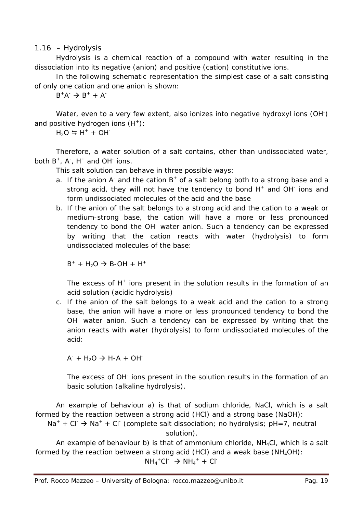## 1.16 – *Hydrolysis*

Hydrolysis is a chemical reaction of a compound with water resulting in the dissociation into its negative (anion) and positive (cation) constitutive ions.

In the following schematic representation the simplest case of a salt consisting of only one cation and one anion is shown:

 $B^+A^- \rightarrow B^+ + A^-$ 

Water, even to a very few extent, also ionizes into negative hydroxyl ions (OH<sup>-</sup>) and positive hydrogen ions  $(H^+)$ :

 $H_2O = H^+ + OH^-$ 

Therefore, a water solution of a salt contains, other than undissociated water, both  $B^+$ ,  $A^-$ ,  $H^+$  and OH<sup>-</sup> ions.

This salt solution can behave in three possible ways:

- a. If the anion A and the cation  $B^+$  of a salt belong both to a strong base and a strong acid, they will not have the tendency to bond  $H^+$  and OH $^-$  ions and form undissociated molecules of the acid and the base
- b. If the anion of the salt belongs to a strong acid and the cation to a weak or medium-strong base, the cation will have a more or less pronounced tendency to bond the OH- water anion. Such a tendency can be expressed by writing that the cation reacts with water (hydrolysis) to form undissociated molecules of the base:

 $B^+ + H_2O \rightarrow B-OH + H^+$ 

The excess of  $H^+$  ions present in the solution results in the formation of an acid solution (*acidic hydrolysis*)

c. If the anion of the salt belongs to a weak acid and the cation to a strong base, the anion will have a more or less pronounced tendency to bond the OH<sup>-</sup> water anion. Such a tendency can be expressed by writing that the anion reacts with water (hydrolysis) to form undissociated molecules of the acid:

 $A^-$  + H<sub>2</sub>O  $\rightarrow$  H-A + OH<sup>-</sup>

The excess of OH<sup>-</sup> ions present in the solution results in the formation of an basic solution (*alkaline hydrolysis*).

An example of behaviour a) is that of sodium chloride, NaCl, which is a salt formed by the reaction between a strong acid (HCl) and a strong base (NaOH):

 $Na^+ + Cl^- \rightarrow Na^+ + Cl^-$  (complete salt dissociation; no hydrolysis; pH=7, neutral solution).

An example of behaviour b) is that of ammonium chloride,  $NH<sub>4</sub>Cl$ , which is a salt formed by the reaction between a strong acid (HCI) and a weak base ( $NH<sub>4</sub>OH$ ):

 $NH_4$ <sup>+</sup>Cl<sup>-</sup>  $\rightarrow$  NH<sub>4</sub><sup>+</sup> + Cl<sup>-</sup>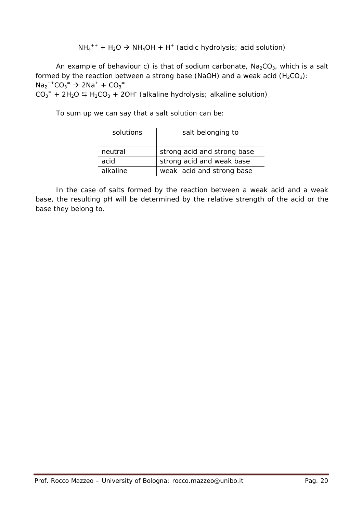$NH_4^{++} + H_2O \rightarrow NH_4OH + H^+$  (acidic hydrolysis; acid solution)

An example of behaviour c) is that of sodium carbonate,  $Na_2CO_3$ , which is a salt formed by the reaction between a strong base (NaOH) and a weak acid  $(H_2CO_3)$ :  $Na_2^{++}CO_3^- \rightarrow 2Na^+ + CO_3^ CO_3$ <sup>=</sup> + 2H<sub>2</sub>O  $\leftrightarrows$  H<sub>2</sub>CO<sub>3</sub> + 2OH<sup>-</sup> (alkaline hydrolysis; alkaline solution)

To sum up we can say that a salt solution can be:

| solutions | salt belonging to           |  |  |  |
|-----------|-----------------------------|--|--|--|
|           |                             |  |  |  |
| neutral   | strong acid and strong base |  |  |  |
| acid      | strong acid and weak base   |  |  |  |
| alkaline  | weak acid and strong base   |  |  |  |

In the case of salts formed by the reaction between a weak acid and a weak base, the resulting pH will be determined by the relative strength of the acid or the base they belong to.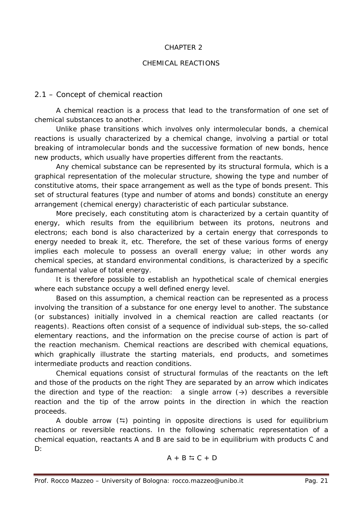#### CHAPTER 2

### CHEMICAL REACTIONS

## 2.1 – *Concept of chemical reaction*

A chemical reaction is a process that lead to the transformation of one set of chemical substances to another.

Unlike phase transitions which involves only intermolecular bonds, a chemical reactions is usually characterized by a chemical change, involving a partial or total breaking of intramolecular bonds and the successive formation of new bonds, hence new products, which usually have properties different from the reactants.

Any chemical substance can be represented by its *structural formula*, which is a graphical representation of the molecular structure, showing the type and number of constitutive atoms, their space arrangement as well as the type of bonds present. This set of structural features (type and number of atoms and bonds) constitute an energy arrangement (chemical energy) characteristic of each particular substance.

More precisely, each constituting atom is characterized by a certain quantity of energy, which results from the equilibrium between its protons, neutrons and electrons; each bond is also characterized by a certain energy that corresponds to energy needed to break it, etc. Therefore, the set of these various forms of energy implies each molecule to possess an overall energy value; in other words any chemical species, at standard environmental conditions, is characterized by a specific fundamental value of total energy.

It is therefore possible to establish an hypothetical scale of chemical energies where each substance occupy a well defined energy level.

Based on this assumption, a chemical reaction can be represented as a process involving the transition of a substance for one energy level to another. The substance (or substances) initially involved in a chemical reaction are called *reactants* (or *reagents*). Reactions often consist of a sequence of individual sub-steps, the so-called elementary reactions, and the information on the precise course of action is part of the reaction mechanism. Chemical reactions are described with *chemical equations*, which graphically illustrate the starting materials, *end products*, and sometimes intermediate products and reaction conditions.

Chemical equations consist of structural formulas of the reactants on the left and those of the products on the right They are separated by an arrow which indicates the direction and type of the reaction: a single arrow  $(\rightarrow)$  describes a reversible reaction and the tip of the arrow points in the direction in which the reaction proceeds.

A double arrow  $(\Rightarrow)$  pointing in opposite directions is used for equilibrium reactions or reversible reactions. In the following schematic representation of a chemical equation, reactants A and B are said to be in equilibrium with products C and D:

$$
A + B \leftrightarrows C + D
$$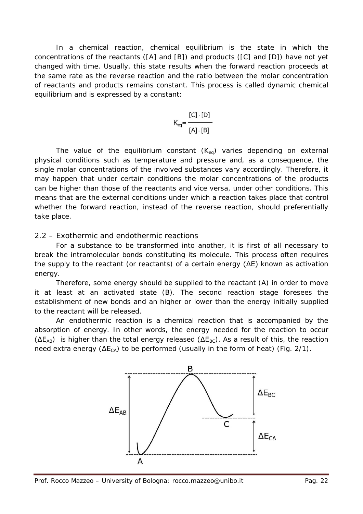In a chemical reaction, chemical equilibrium is the state in which the concentrations of the reactants ([A] and [B]) and products ([C] and [D]) have not yet changed with time. Usually, this state results when the forward reaction proceeds at the same rate as the reverse reaction and the ratio between the molar concentration of reactants and products remains constant. This process is called dynamic chemical equilibrium and is expressed by a constant:

$$
K_{eq} = \frac{[C] \cdot [D]}{[A] \cdot [B]}
$$

The value of the equilibrium constant  $(K_{eq})$  varies depending on external physical conditions such as temperature and pressure and, as a consequence, the single molar concentrations of the involved substances vary accordingly. Therefore, it may happen that under certain conditions the molar concentrations of the products can be higher than those of the reactants and vice versa, under other conditions. This means that are the external conditions under which a reaction takes place that control whether the forward reaction, instead of the reverse reaction, should preferentially take place.

### 2.2 – *Exothermic and endothermic reactions*

For a substance to be transformed into another, it is first of all necessary to break the intramolecular bonds constituting its molecule. This process often requires the supply to the reactant (or reactants) of a certain energy (ΔE) known as *activation energy*.

Therefore, some energy should be supplied to the reactant (A) in order to move it at least at an activated state (B). The second reaction stage foresees the establishment of new bonds and an higher or lower than the energy initially supplied to the reactant will be released.

An endothermic reaction is a chemical reaction that is accompanied by the absorption of energy. In other words, the energy needed for the reaction to occur  $(\Delta E_{AB})$  is higher than the total energy released ( $\Delta E_{BC}$ ). As a result of this, the reaction need extra energy ( $\Delta E_{CA}$ ) to be performed (usually in the form of heat) (Fig. 2/1).

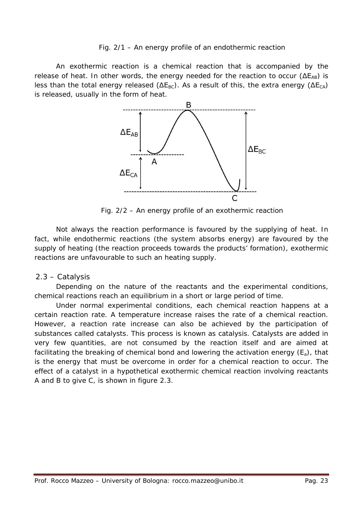### Fig. 2/1 – An energy profile of an endothermic reaction

An exothermic reaction is a chemical reaction that is accompanied by the release of heat. In other words, the energy needed for the reaction to occur  $(\Delta E_{AB})$  is less than the total energy released ( $\Delta E_{BC}$ ). As a result of this, the extra energy ( $\Delta E_{CA}$ ) is released, usually in the form of heat.



Fig. 2/2 – An energy profile of an exothermic reaction

Not always the reaction performance is favoured by the supplying of heat. In fact, while endothermic reactions (the system absorbs energy) are favoured by the supply of heating (the reaction proceeds towards the products' formation), exothermic reactions are unfavourable to such an heating supply.

## 2.3 – *Catalysis*

Depending on the nature of the reactants and the experimental conditions, chemical reactions reach an equilibrium in a short or large period of time.

Under normal experimental conditions, each chemical reaction happens at a certain *reaction rate*. A temperature increase raises the rate of a chemical reaction. However, a reaction rate increase can also be achieved by the participation of substances called *catalysts*. This process is known as *catalysis*. Catalysts are added in very few quantities, are not consumed by the reaction itself and are aimed at facilitating the breaking of chemical bond and lowering the *activation energy* (Ea), that is the energy that must be overcome in order for a chemical reaction to occur. The effect of a catalyst in a hypothetical exothermic chemical reaction involving reactants A and B to give C, is shown in figure 2.3.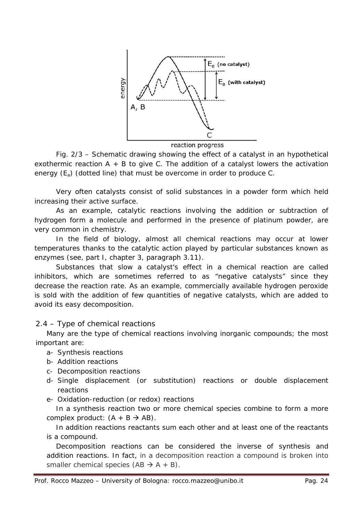

reaction progress

Fig. 2/3 – Schematic drawing showing the effect of a catalyst in an hypothetical exothermic reaction  $A + B$  to give C. The addition of a catalyst lowers the activation energy  $(E_a)$  (dotted line) that must be overcome in order to produce C.

Very often catalysts consist of solid substances in a powder form which held increasing their active surface.

As an example, catalytic reactions involving the addition or subtraction of hydrogen form a molecule and performed in the presence of platinum powder, are very common in chemistry.

In the field of biology, almost all chemical reactions may occur at lower temperatures thanks to the catalytic action played by particular substances known as enzymes (see, part I, chapter 3, paragraph 3.11).

Substances that slow a catalyst's effect in a chemical reaction are called *inhibitors*, which are sometimes referred to as "*negative catalysts*" since they decrease the reaction rate. As an example, commercially available hydrogen peroxide is sold with the addition of few quantities of negative catalysts, which are added to avoid its easy decomposition.

# 2.4 – *Type of chemical reactions*

Many are the type of chemical reactions involving inorganic compounds; the most important are:

- a- Synthesis reactions
- b- Addition reactions
- c- Decomposition reactions
- d- Single displacement (or substitution) reactions or double displacement reactions
- e- Oxidation-reduction (or redox) reactions

In a *synthesis reaction* two or more chemical species combine to form a more complex product:  $(A + B \rightarrow AB)$ .

In *addition reactions* reactants sum each other and at least one of the reactants is a compound.

*Decomposition reactions* can be considered the inverse of synthesis and addition reactions. In fact, in a decomposition reaction a compound is broken into smaller chemical species  $(AB \rightarrow A + B)$ .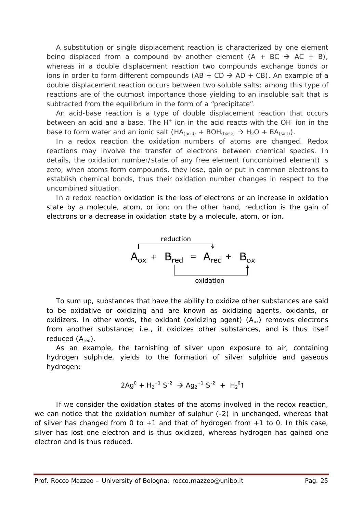A substitution or *single displacement reaction* is characterized by one element being displaced from a compound by another element  $(A + BC \rightarrow AC + B)$ , whereas in a *double displacement reaction* two compounds exchange bonds or ions in order to form different compounds  $(AB + CD \rightarrow AD + CB)$ . An example of a double displacement reaction occurs between two soluble salts; among this type of reactions are of the outmost importance those yielding to an insoluble salt that is subtracted from the equilibrium in the form of a "*precipitate*".

An *acid-base reaction* is a type of *double displacement reaction* that occurs between an acid and a base. The  $H^+$  ion in the acid reacts with the OH $^-$  ion in the base to form water and an ionic salt  $(HA_{(acid)} + BOH_{(base)} \rightarrow H_2O + BA_{(salt)})$ .

In a *redox reaction* the oxidation numbers of atoms are changed. Redox reactions may involve the transfer of electrons between chemical species. In details, the oxidation number/state of any free element (uncombined element) is zero; when atoms form compounds, they lose, gain or put in common electrons to establish chemical bonds, thus their oxidation number changes in respect to the uncombined situation.

In a redox reaction *oxidation* is the loss of electrons or an *increase* in oxidation state by a molecule, atom, or ion; on the other hand, *reduction* is the gain of electrons or a *decrease* in oxidation state by a molecule, atom, or ion.



To sum up, substances that have the ability to oxidize other substances are said to be oxidative or oxidizing and are known as *oxidizing agents*, oxidants, or oxidizers. In other words, the oxidant (oxidizing agent)  $(A_{ox})$  removes electrons from another substance; i.e., it oxidizes other substances, and is thus itself reduced  $(A_{\text{red}})$ .

As an example, the tarnishing of silver upon exposure to air, containing hydrogen sulphide, yields to the formation of silver sulphide and gaseous hydrogen:

$$
2Ag^{0} + H_{2}^{+1} S^{-2} \rightarrow Ag_{2}^{+1} S^{-2} + H_{2}^{0} \uparrow
$$

If we consider the oxidation states of the atoms involved in the redox reaction, we can notice that the oxidation number of sulphur (-2) in unchanged, whereas that of silver has changed from 0 to  $+1$  and that of hydrogen from  $+1$  to 0. In this case, silver has lost one electron and is thus oxidized, whereas hydrogen has gained one electron and is thus reduced.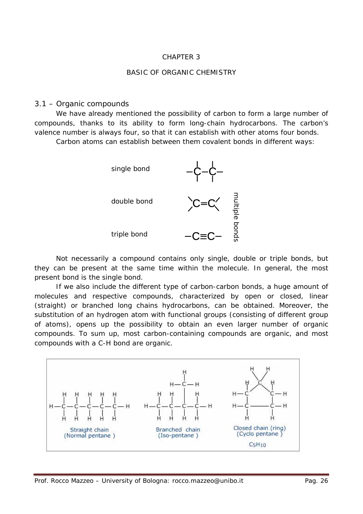## CHAPTER 3

#### BASIC OF ORGANIC CHEMISTRY

#### 3.1 – *Organic compounds*

We have already mentioned the possibility of carbon to form a large number of compounds, thanks to its ability to form long-chain hydrocarbons. The carbon's valence number is always four, so that it can establish with other atoms four bonds.

Carbon atoms can establish between them covalent bonds in different ways:



Not necessarily a compound contains only single, double or triple bonds, but they can be present at the same time within the molecule. In general, the most present bond is the single bond.

If we also include the different type of carbon-carbon bonds, a huge amount of molecules and respective compounds, characterized by *open* or *closed*, *linear* (*straight*) or *branched* long chains hydrocarbons, can be obtained. Moreover, the substitution of an hydrogen atom with functional groups (consisting of different group of atoms), opens up the possibility to obtain an even larger number of organic compounds. To sum up, most carbon-containing compounds are organic, and most compounds with a C-H bond are organic.

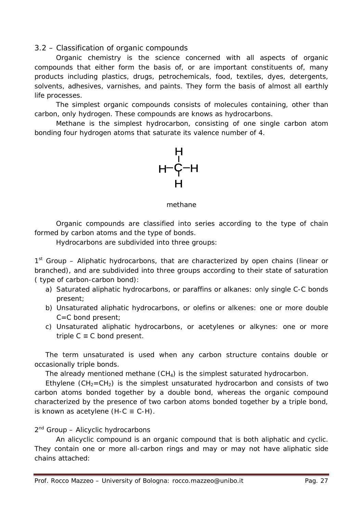## 3.2 – *Classification of organic compounds*

Organic chemistry is the science concerned with all aspects of organic compounds that either form the basis of, or are important constituents of, many products including plastics, drugs, petrochemicals, food, textiles, dyes, detergents, solvents, adhesives, varnishes, and paints. They form the basis of almost all earthly life processes.

The simplest organic compounds consists of molecules containing, other than carbon, only hydrogen. These compounds are knows as *hydrocarbons*.

*Methane* is the simplest hydrocarbon, consisting of one single carbon atom bonding four hydrogen atoms that saturate its valence number of 4.



#### methane

Organic compounds are classified into series according to the *type of chain* formed by carbon atoms and the *type of bonds*.

Hydrocarbons are subdivided into three groups:

1st Group – *Aliphatic hydrocarbons*, that are characterized by open chains (linear or branched), and are subdivided into three groups according to their state of saturation ( type of carbon-carbon bond):

- a) Saturated aliphatic hydrocarbons, or *paraffins* or alkanes: only single C-C bonds present;
- b) Unsaturated aliphatic hydrocarbons, or *olefins* or alkenes: one or more double C=C bond present;
- c) Unsaturated aliphatic hydrocarbons, or *acetylenes* or alkynes: one or more triple  $C \equiv C$  bond present.

The term unsaturated is used when any carbon structure contains double or occasionally triple bonds.

The already mentioned methane  $(CH<sub>4</sub>)$  is the simplest saturated hydrocarbon.

*Ethylene* ( $CH<sub>2</sub>=CH<sub>2</sub>$ ) is the simplest unsaturated hydrocarbon and consists of two carbon atoms bonded together by a double bond, whereas the organic compound characterized by the presence of two carbon atoms bonded together by a triple bond, is known as acetylene (H-C  $\equiv$  C-H).

## $2<sup>nd</sup>$  Group – Alicyclic hydrocarbons

An alicyclic compound is an organic compound that is both aliphatic and cyclic. They contain one or more all-carbon rings and may or may not have aliphatic side chains attached: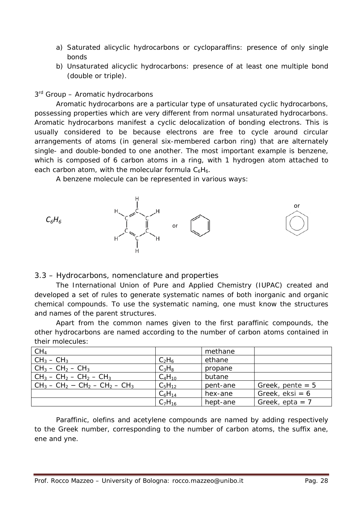- a) Saturated alicyclic hydrocarbons or cycloparaffins: presence of only single bonds
- b) Unsaturated alicyclic hydrocarbons: presence of at least one multiple bond (double or triple).

3<sup>rd</sup> Group – Aromatic hydrocarbons

Aromatic hydrocarbons are a particular type of unsaturated cyclic hydrocarbons, possessing properties which are very different from normal unsaturated hydrocarbons. Aromatic hydrocarbons manifest a cyclic delocalization of bonding electrons. This is usually considered to be because electrons are free to cycle around circular arrangements of atoms (in general six-membered carbon ring) that are alternately single- and double-bonded to one another. The most important example is *benzene*, which is composed of 6 carbon atoms in a ring, with 1 hydrogen atom attached to each carbon atom, with the molecular formula  $C_6H_6$ .

A benzene molecule can be represented in various ways:



# 3.3 – *Hydrocarbons, nomenclature and properties*

The International Union of Pure and Applied Chemistry (IUPAC) created and developed a set of rules to generate systematic names of both inorganic and organic chemical compounds. To use the systematic naming, one must know the structures and names of the parent structures.

Apart from the common names given to the first paraffinic compounds, the other hydrocarbons are named according to the number of carbon atoms contained in their molecules:

|             | methane  |                    |
|-------------|----------|--------------------|
| $C_2H_6$    | ethane   |                    |
| $C_3H_8$    | propane  |                    |
| $C_4H_{10}$ | butane   |                    |
| $C_5H_{12}$ | pent-ane | Greek, pente $= 5$ |
| $C_6H_{14}$ | hex-ane  | Greek, $eksi = 6$  |
| $C_7H_{16}$ | hept-ane | Greek, epta = $7$  |
|             |          |                    |

Paraffinic, olefins and acetylene compounds are named by adding respectively to the Greek number, corresponding to the number of carbon atoms, the suffix *ane*, *ene* and *yne*.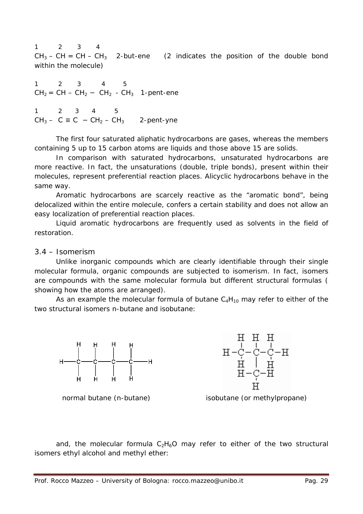1 2 3 4  $CH_3 - CH = CH - CH_3$  2-but-*ene* (2 indicates the position of the double bond within the molecule)

1 2 3 4 5 CH2 = CH – CH2 − CH2 - CH3 1-pent-*ene*

1 2 3 4 5 CH<sub>3</sub> – C ≡ C – CH<sub>2</sub> – CH<sub>3</sub> 2-pent-*yne* 

The first four saturated aliphatic hydrocarbons are gases, whereas the members containing 5 up to 15 carbon atoms are liquids and those above 15 are solids.

In comparison with saturated hydrocarbons, unsaturated hydrocarbons are more reactive. In fact, the unsaturations (double, triple bonds), present within their molecules, represent preferential reaction places. Alicyclic hydrocarbons behave in the same way.

Aromatic hydrocarbons are scarcely reactive as the "aromatic bond", being delocalized within the entire molecule, confers a certain stability and does not allow an easy localization of preferential reaction places.

Liquid aromatic hydrocarbons are frequently used as solvents in the field of restoration.

#### 3.4 – *Isomerism*

Unlike inorganic compounds which are clearly identifiable through their single molecular formula, organic compounds are subjected to *isomerism*. In fact, *isomers* are compounds with the same molecular formula but different structural formulas ( showing how the atoms are arranged).

As an example the molecular formula of butane  $C_4H_{10}$  may refer to either of the two structural isomers *n*-butane and isobutane:



 $\begin{array}{c} \begin{array}{c} \text{H} \quad \text{H} \quad \text{H} \\ -\text{C} - \text{C} - \text{C} - \text{H} \\ \text{H} \quad \text{H} \quad \text{H} \\ \text{H} \quad \text{H} \quad \text{H} \\ \text{H} - \text{C} - \text{H} \end{array} \end{array}$ 



and, the molecular formula  $C_2H_6O$  may refer to either of the two structural isomers ethyl alcohol and methyl ether: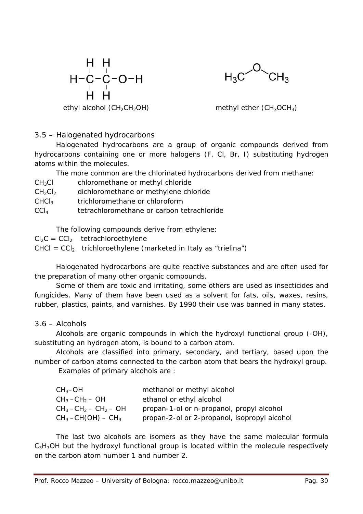



ethyl alcohol  $(CH_2CH_2OH)$  methyl ether  $(CH_3OCH_3)$ 

# 3.5 – *Halogenated hydrocarbons*

Halogenated hydrocarbons are a group of organic compounds derived from hydrocarbons containing one or more halogens (F, Cl, Br, I) substituting hydrogen atoms within the molecules.

The more common are the chlorinated hydrocarbons derived from methane:

- CH3Cl chloromethane or methyl chloride
- CH<sub>2</sub>Cl<sub>2</sub> dichloromethane or methylene chloride
- $CHCl<sub>3</sub>$  trichloromethane or chloroform
- CCl4 tetrachloromethane or carbon tetrachloride

The following compounds derive from ethylene:

 $Cl_2C = CCl_2$  tetrachloroethylene

 $CHCI = CCI<sub>2</sub>$  trichloroethylene (marketed in Italy as "*trielina*")

Halogenated hydrocarbons are quite reactive substances and are often used for the preparation of many other organic compounds.

Some of them are toxic and irritating, some others are used as insecticides and fungicides. Many of them have been used as a solvent for fats, oils, waxes, resins, rubber, plastics, paints, and varnishes. By 1990 their use was banned in many states.

# 3.6 – *Alcohols*

Alcohols are organic compounds in which the hydroxyl functional group (-OH), substituting an hydrogen atom, is bound to a carbon atom.

Alcohols are classified into *primary*, *secondary*, and *tertiary*, based upon the number of carbon atoms connected to the carbon atom that bears the hydroxyl group.

Examples of primary alcohols are :

| $CH_3$ -OH                                     | methanol or methyl alcohol                   |
|------------------------------------------------|----------------------------------------------|
| $CH_3$ –CH <sub>2</sub> – OH                   | ethanol or ethyl alcohol                     |
| $CH_3$ –CH <sub>2</sub> – CH <sub>2</sub> – OH | propan-1-ol or n-propanol, propyl alcohol    |
| $CH_3$ –CH(OH) – CH <sub>3</sub>               | propan-2-ol or 2-propanol, isopropyl alcohol |

The last two alcohols are isomers as they have the same molecular formula  $C_3H_7$ OH but the hydroxyl functional group is located within the molecule respectively on the carbon atom number 1 and number 2.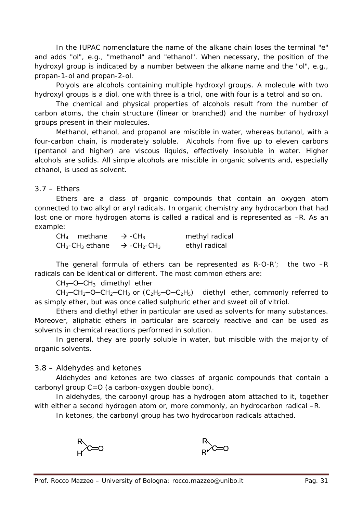In the IUPAC nomenclature the name of the alkane chain loses the terminal "*e*" and adds "*ol*", e.g., "methanol" and "ethanol". When necessary, the position of the hydroxyl group is indicated by a number between the alkane name and the "*ol*", e.g., propan-1-ol and propan-2-ol.

*Polyols* are alcohols containing multiple hydroxyl groups. A molecule with two hydroxyl groups is a *diol*, one with three is a *triol*, one with four is a *tetrol* and so on.

The chemical and physical properties of alcohols result from the number of carbon atoms, the chain structure (linear or branched) and the number of hydroxyl groups present in their molecules.

Methanol, ethanol, and propanol are miscible in water, whereas butanol, with a four-carbon chain, is moderately soluble. Alcohols from five up to eleven carbons (pentanol and higher) are viscous liquids, effectively insoluble in water. Higher alcohols are solids. All simple alcohols are miscible in organic solvents and, especially ethanol, is used as solvent.

## 3.7 – *Ethers*

Ethers are a class of organic compounds that contain an oxygen atom connected to two alkyl or aryl radicals. In organic chemistry any hydrocarbon that had lost one or more hydrogen atoms is called a radical and is represented as –R. As an example:

| $CH4$ methane                 | $\rightarrow$ -CH <sub>3</sub>                  | methyl radical |
|-------------------------------|-------------------------------------------------|----------------|
| $CH3$ -CH <sub>3</sub> ethane | $\rightarrow$ -CH <sub>2</sub> -CH <sub>3</sub> | ethyl radical  |

The general formula of ethers can be represented as R-O-R'; the two –R radicals can be identical or different. The most common ethers are:

CH3─O─CH3 *dimethyl ether*

CH3─CH2─O─CH2─CH<sup>3</sup> or (C2H5─O─C2H5) *diethyl ether*, commonly referred to as simply *ether*, but was once called sulphuric ether and *sweet oil of vitriol*.

Ethers and diethyl ether in particular are used as solvents for many substances. Moreover, aliphatic ethers in particular are scarcely reactive and can be used as solvents in chemical reactions performed in solution.

In general, they are poorly soluble in water, but miscible with the majority of organic solvents.

3.8 – Aldehydes and ketones

Aldehydes and ketones are two classes of organic compounds that contain a carbonyl group C=O (a carbon-oxygen double bond).

In aldehydes, the carbonyl group has a hydrogen atom attached to it, together with either a second hydrogen atom or, more commonly, an hydrocarbon radical  $-R$ .

In ketones, the carbonyl group has two hydrocarbon radicals attached.



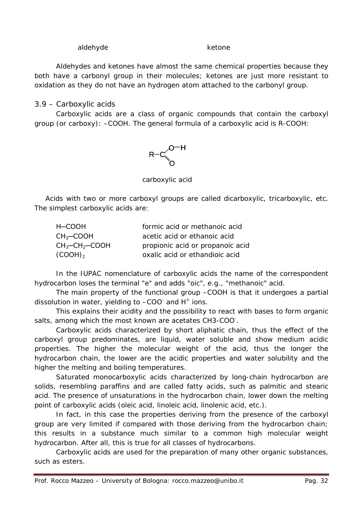#### aldehyde ketone

Aldehydes and ketones have almost the same chemical properties because they both have a carbonyl group in their molecules; ketones are just more resistant to oxidation as they do not have an hydrogen atom attached to the carbonyl group.

### 3.9 – Carboxylic acids

Carboxylic acids are a class of organic compounds that contain the carboxyl group (or carboxy): –COOH. The general formula of a carboxylic acid is R-COOH:



carboxylic acid

Acids with two or more carboxyl groups are called dicarboxylic, tricarboxylic, etc. The simplest carboxylic acids are:

| H-COOH                        | formic acid or methanoic acid    |
|-------------------------------|----------------------------------|
| $CH3-COOH$                    | acetic acid or ethanoic acid     |
| $CH_3$ -CH <sub>2</sub> -COOH | propionic acid or propanoic acid |
| $(COOH)_{2}$                  | oxalic acid or ethandioic acid   |

In the IUPAC nomenclature of carboxylic acids the name of the correspondent hydrocarbon loses the terminal "*e*" and adds "*oic*", e.g., "methanoic" acid.

The main property of the functional group –COOH is that it undergoes a partial dissolution in water, yielding to  $-COO^-$  and  $H^+$  ions.

This explains their acidity and the possibility to react with bases to form organic salts, among which the most known are acetates CH3-COO.

Carboxylic acids characterized by short aliphatic chain, thus the effect of the carboxyl group predominates, are liquid, water soluble and show medium acidic properties. The higher the molecular weight of the acid, thus the longer the hydrocarbon chain, the lower are the acidic properties and water solubility and the higher the melting and boiling temperatures.

Saturated monocarboxylic acids characterized by long-chain hydrocarbon are solids, resembling paraffins and are called fatty acids, such as palmitic and stearic acid. The presence of unsaturations in the hydrocarbon chain, lower down the melting point of carboxylic acids (oleic acid, linoleic acid, linolenic acid, etc.).

In fact, in this case the properties deriving from the presence of the carboxyl group are very limited if compared with those deriving from the hydrocarbon chain; this results in a substance much similar to a common high molecular weight hydrocarbon. After all, this is true for all classes of hydrocarbons.

Carboxylic acids are used for the preparation of many other organic substances, such as esters.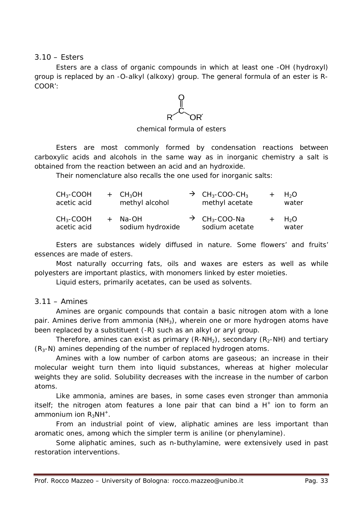### 3.10 – Esters

Esters are a class of organic compounds in which at least one -OH (hydroxyl) group is replaced by an -O-alkyl (alkoxy) group. The general formula of an ester is R-COOR':

 $C$ 

chemical formula of esters

Esters are most commonly formed by condensation reactions between carboxylic acids and alcohols in the same way as in inorganic chemistry a salt is obtained from the reaction between an acid and an hydroxide.

Their nomenclature also recalls the one used for inorganic salts:

| $CH3-COOH$<br>acetic acid | $+$ CH <sub>3</sub> OH<br>methyl alcohol | $\rightarrow$ CH <sub>3</sub> -COO-CH <sub>3</sub><br>methyl acetate | $+$ H <sub>2</sub> O<br>water |
|---------------------------|------------------------------------------|----------------------------------------------------------------------|-------------------------------|
| $CH3-COOH$<br>acetic acid | + Na-OH<br>sodium hydroxide              | $\rightarrow$ CH <sub>3</sub> -COO-Na<br>sodium acetate              | $+$ H <sub>2</sub> O<br>water |

Esters are substances widely diffused in nature. Some flowers' and fruits' essences are made of esters.

Most naturally occurring fats, oils and waxes are esters as well as while polyesters are important plastics, with monomers linked by ester moieties.

Liquid esters, primarily acetates, can be used as solvents.

## 3.11 – *Amines*

Amines are organic compounds that contain a basic nitrogen atom with a lone pair. Amines derive from ammonia  $(NH_3)$ , wherein one or more hydrogen atoms have been replaced by a substituent (-R) such as an alkyl or aryl group.

Therefore, amines can exist as primary  $(R-NH_2)$ , secondary  $(R_2-NH)$  and tertiary  $(R<sub>3</sub>-N)$  amines depending of the number of replaced hydrogen atoms.

Amines with a low number of carbon atoms are gaseous; an increase in their molecular weight turn them into liquid substances, whereas at higher molecular weights they are solid. Solubility decreases with the increase in the number of carbon atoms.

Like ammonia, amines are bases, in some cases even stronger than ammonia itself; the nitrogen atom features a lone pair that can bind a  $H^+$  ion to form an ammonium ion  $R_3NH^+$ .

From an industrial point of view, aliphatic amines are less important than aromatic ones, among which the simpler term is aniline (or phenylamine).

Some aliphatic amines, such as *n*-buthylamine, were extensively used in past restoration interventions.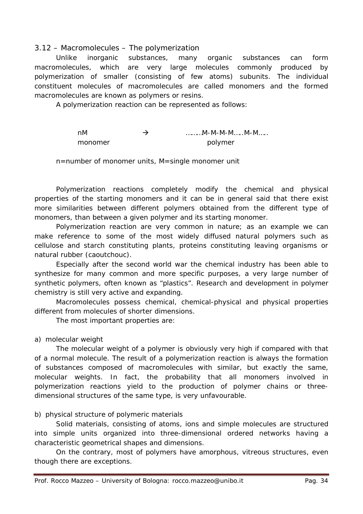### 3.12 – *Macromolecules – The polymerization*

Unlike inorganic substances, many organic substances can form *macromolecules*, which are very large molecules commonly produced by *polymerization* of smaller (consisting of few atoms) subunits. The individual constituent molecules of macromolecules are called *monomers* and the formed macromolecules are known as *polymers* or *resins*.

A polymerization reaction can be represented as follows:

 $\rightarrow$   $\rightarrow$   $\rightarrow$  .........M-M-M-M.....M-M..... monomer polymer

n=number of monomer units, M=single monomer unit

Polymerization reactions completely modify the chemical and physical properties of the starting monomers and it can be in general said that there exist more similarities between different polymers obtained from the different type of monomers, than between a given polymer and its starting monomer.

Polymerization reaction are very common in nature; as an example we can make reference to some of the most widely diffused natural polymers such as cellulose and starch constituting plants, proteins constituting leaving organisms or natural rubber (caoutchouc).

Especially after the second world war the chemical industry has been able to synthesize for many common and more specific purposes, a very large number of synthetic polymers, often known as "plastics". Research and development in polymer chemistry is still very active and expanding.

Macromolecules possess chemical, chemical-physical and physical properties different from molecules of shorter dimensions.

The most important properties are:

## *a) molecular weight*

The molecular weight of a polymer is obviously very high if compared with that of a normal molecule. The result of a polymerization reaction is always the formation of substances composed of macromolecules with similar, but exactly the same, molecular weights. In fact, the probability that all monomers involved in polymerization reactions yield to the production of polymer chains or threedimensional structures of the same type, is very unfavourable.

## *b) physical structure of polymeric materials*

Solid materials, consisting of atoms, ions and simple molecules are structured into simple units organized into three-dimensional ordered networks having a characteristic geometrical shapes and dimensions.

On the contrary, most of polymers have amorphous, vitreous structures, even though there are exceptions.